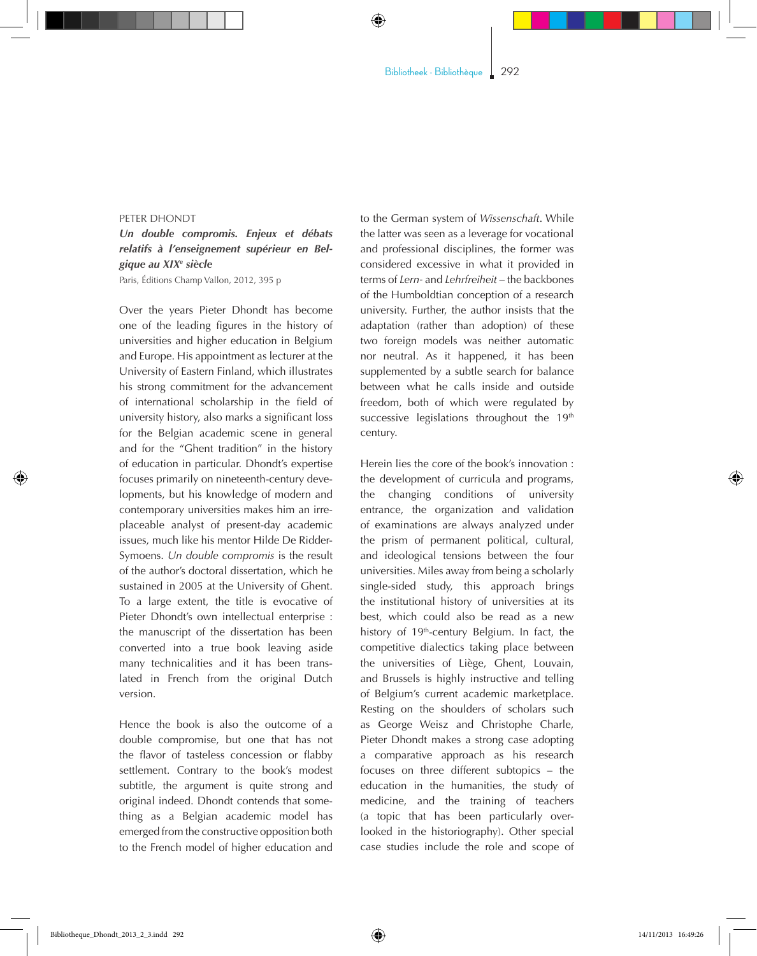◈

## PETER DHONDT

## *Un double compromis. Enjeux et débats relatifs à l'enseignement supérieur en Belgique au XIXe siècle*

Paris, Éditions Champ Vallon, 2012, 395 p

Over the years Pieter Dhondt has become one of the leading figures in the history of universities and higher education in Belgium and Europe. His appointment as lecturer at the University of Eastern Finland, which illustrates his strong commitment for the advancement of international scholarship in the field of university history, also marks a significant loss for the Belgian academic scene in general and for the "Ghent tradition" in the history of education in particular. Dhondt's expertise focuses primarily on nineteenth-century developments, but his knowledge of modern and contemporary universities makes him an irreplaceable analyst of present-day academic issues, much like his mentor Hilde De Ridder-Symoens. *Un double compromis* is the result of the author's doctoral dissertation, which he sustained in 2005 at the University of Ghent. To a large extent, the title is evocative of Pieter Dhondt's own intellectual enterprise : the manuscript of the dissertation has been converted into a true book leaving aside many technicalities and it has been translated in French from the original Dutch version.

Hence the book is also the outcome of a double compromise, but one that has not the flavor of tasteless concession or flabby settlement. Contrary to the book's modest subtitle, the argument is quite strong and original indeed. Dhondt contends that something as a Belgian academic model has emerged from the constructive opposition both to the French model of higher education and to the German system of *Wissenschaft*. While the latter was seen as a leverage for vocational and professional disciplines, the former was considered excessive in what it provided in terms of *Lern-* and *Lehrfreiheit* – the backbones of the Humboldtian conception of a research university. Further, the author insists that the adaptation (rather than adoption) of these two foreign models was neither automatic nor neutral. As it happened, it has been supplemented by a subtle search for balance between what he calls inside and outside freedom, both of which were regulated by successive legislations throughout the  $19<sup>th</sup>$ century.

Herein lies the core of the book's innovation : the development of curricula and programs, the changing conditions of university entrance, the organization and validation of examinations are always analyzed under the prism of permanent political, cultural, and ideological tensions between the four universities. Miles away from being a scholarly single-sided study, this approach brings the institutional history of universities at its best, which could also be read as a new history of 19<sup>th</sup>-century Belgium. In fact, the competitive dialectics taking place between the universities of Liège, Ghent, Louvain, and Brussels is highly instructive and telling of Belgium's current academic marketplace. Resting on the shoulders of scholars such as George Weisz and Christophe Charle, Pieter Dhondt makes a strong case adopting a comparative approach as his research focuses on three different subtopics - the education in the humanities, the study of medicine, and the training of teachers (a topic that has been particularly overlooked in the historiography). Other special case studies include the role and scope of

◈